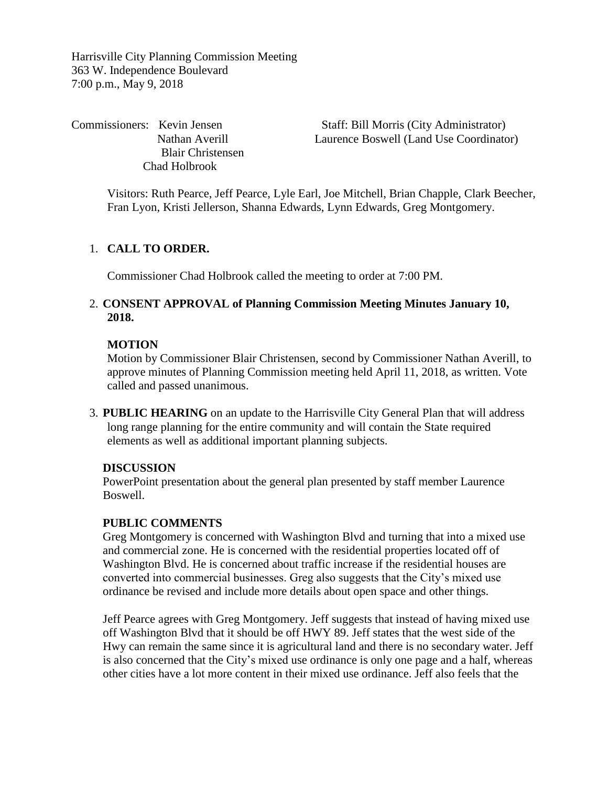Harrisville City Planning Commission Meeting 363 W. Independence Boulevard 7:00 p.m., May 9, 2018

Blair Christensen Chad Holbrook

Commissioners: Kevin Jensen Staff: Bill Morris (City Administrator) Nathan Averill Laurence Boswell (Land Use Coordinator)

Visitors: Ruth Pearce, Jeff Pearce, Lyle Earl, Joe Mitchell, Brian Chapple, Clark Beecher, Fran Lyon, Kristi Jellerson, Shanna Edwards, Lynn Edwards, Greg Montgomery.

# 1. **CALL TO ORDER.**

Commissioner Chad Holbrook called the meeting to order at 7:00 PM.

## 2. **CONSENT APPROVAL of Planning Commission Meeting Minutes January 10, 2018.**

# **MOTION**

Motion by Commissioner Blair Christensen, second by Commissioner Nathan Averill, to approve minutes of Planning Commission meeting held April 11, 2018, as written. Vote called and passed unanimous.

3. **PUBLIC HEARING** on an update to the Harrisville City General Plan that will address long range planning for the entire community and will contain the State required elements as well as additional important planning subjects.

#### **DISCUSSION**

PowerPoint presentation about the general plan presented by staff member Laurence Boswell.

#### **PUBLIC COMMENTS**

Greg Montgomery is concerned with Washington Blvd and turning that into a mixed use and commercial zone. He is concerned with the residential properties located off of Washington Blvd. He is concerned about traffic increase if the residential houses are converted into commercial businesses. Greg also suggests that the City's mixed use ordinance be revised and include more details about open space and other things.

Jeff Pearce agrees with Greg Montgomery. Jeff suggests that instead of having mixed use off Washington Blvd that it should be off HWY 89. Jeff states that the west side of the Hwy can remain the same since it is agricultural land and there is no secondary water. Jeff is also concerned that the City's mixed use ordinance is only one page and a half, whereas other cities have a lot more content in their mixed use ordinance. Jeff also feels that the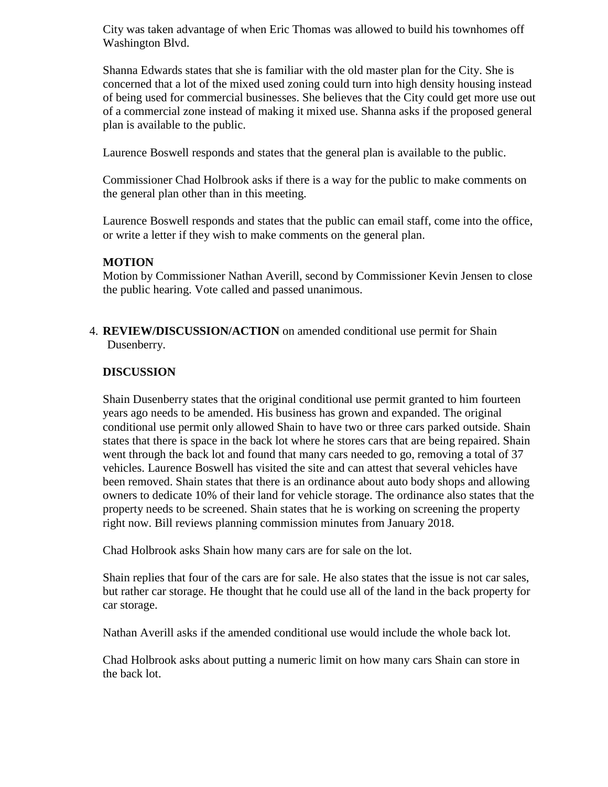City was taken advantage of when Eric Thomas was allowed to build his townhomes off Washington Blvd.

Shanna Edwards states that she is familiar with the old master plan for the City. She is concerned that a lot of the mixed used zoning could turn into high density housing instead of being used for commercial businesses. She believes that the City could get more use out of a commercial zone instead of making it mixed use. Shanna asks if the proposed general plan is available to the public.

Laurence Boswell responds and states that the general plan is available to the public.

Commissioner Chad Holbrook asks if there is a way for the public to make comments on the general plan other than in this meeting.

Laurence Boswell responds and states that the public can email staff, come into the office, or write a letter if they wish to make comments on the general plan.

### **MOTION**

Motion by Commissioner Nathan Averill, second by Commissioner Kevin Jensen to close the public hearing. Vote called and passed unanimous.

4. **REVIEW/DISCUSSION/ACTION** on amended conditional use permit for Shain Dusenberry.

### **DISCUSSION**

Shain Dusenberry states that the original conditional use permit granted to him fourteen years ago needs to be amended. His business has grown and expanded. The original conditional use permit only allowed Shain to have two or three cars parked outside. Shain states that there is space in the back lot where he stores cars that are being repaired. Shain went through the back lot and found that many cars needed to go, removing a total of 37 vehicles. Laurence Boswell has visited the site and can attest that several vehicles have been removed. Shain states that there is an ordinance about auto body shops and allowing owners to dedicate 10% of their land for vehicle storage. The ordinance also states that the property needs to be screened. Shain states that he is working on screening the property right now. Bill reviews planning commission minutes from January 2018.

Chad Holbrook asks Shain how many cars are for sale on the lot.

Shain replies that four of the cars are for sale. He also states that the issue is not car sales, but rather car storage. He thought that he could use all of the land in the back property for car storage.

Nathan Averill asks if the amended conditional use would include the whole back lot.

Chad Holbrook asks about putting a numeric limit on how many cars Shain can store in the back lot.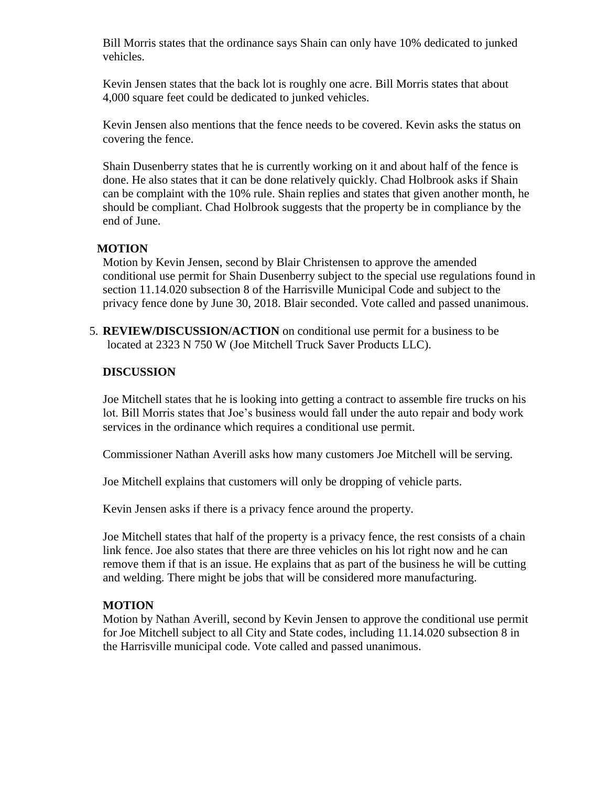Bill Morris states that the ordinance says Shain can only have 10% dedicated to junked vehicles.

Kevin Jensen states that the back lot is roughly one acre. Bill Morris states that about 4,000 square feet could be dedicated to junked vehicles.

Kevin Jensen also mentions that the fence needs to be covered. Kevin asks the status on covering the fence.

Shain Dusenberry states that he is currently working on it and about half of the fence is done. He also states that it can be done relatively quickly. Chad Holbrook asks if Shain can be complaint with the 10% rule. Shain replies and states that given another month, he should be compliant. Chad Holbrook suggests that the property be in compliance by the end of June.

### **MOTION**

Motion by Kevin Jensen, second by Blair Christensen to approve the amended conditional use permit for Shain Dusenberry subject to the special use regulations found in section 11.14.020 subsection 8 of the Harrisville Municipal Code and subject to the privacy fence done by June 30, 2018. Blair seconded. Vote called and passed unanimous.

5. **REVIEW/DISCUSSION/ACTION** on conditional use permit for a business to be located at 2323 N 750 W (Joe Mitchell Truck Saver Products LLC).

### **DISCUSSION**

Joe Mitchell states that he is looking into getting a contract to assemble fire trucks on his lot. Bill Morris states that Joe's business would fall under the auto repair and body work services in the ordinance which requires a conditional use permit.

Commissioner Nathan Averill asks how many customers Joe Mitchell will be serving.

Joe Mitchell explains that customers will only be dropping of vehicle parts.

Kevin Jensen asks if there is a privacy fence around the property.

Joe Mitchell states that half of the property is a privacy fence, the rest consists of a chain link fence. Joe also states that there are three vehicles on his lot right now and he can remove them if that is an issue. He explains that as part of the business he will be cutting and welding. There might be jobs that will be considered more manufacturing.

#### **MOTION**

Motion by Nathan Averill, second by Kevin Jensen to approve the conditional use permit for Joe Mitchell subject to all City and State codes, including 11.14.020 subsection 8 in the Harrisville municipal code. Vote called and passed unanimous.